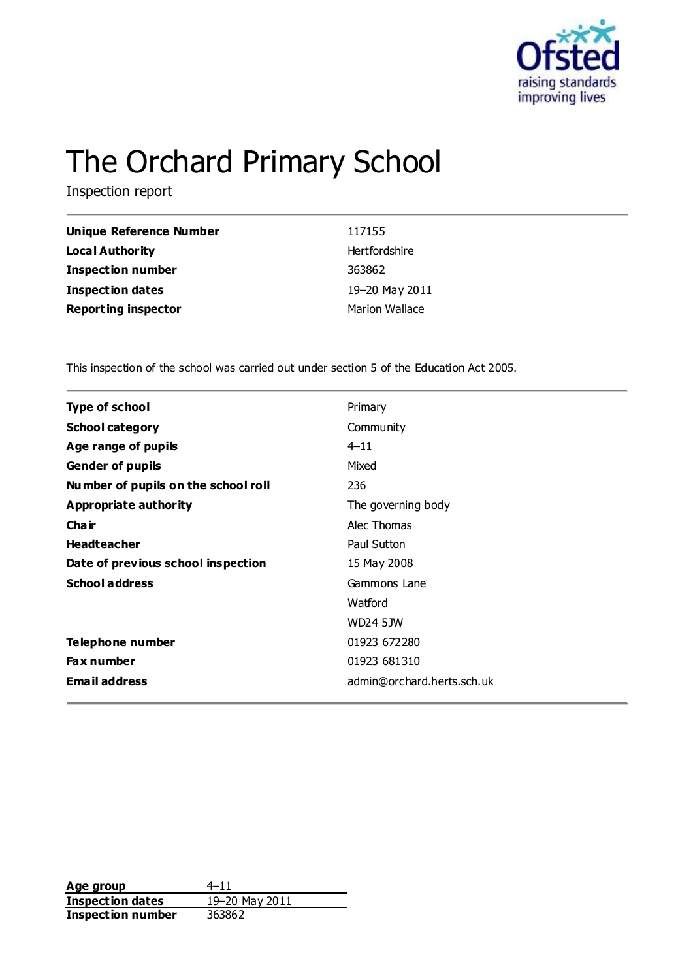

# The Orchard Primary School

Inspection report

| <b>Unique Reference Number</b> | 117155                |
|--------------------------------|-----------------------|
| <b>Local Authority</b>         | Hertfordshire         |
| <b>Inspection number</b>       | 363862                |
| <b>Inspection dates</b>        | 19-20 May 2011        |
| <b>Reporting inspector</b>     | <b>Marion Wallace</b> |

This inspection of the school was carried out under section 5 of the Education Act 2005.

| <b>Type of school</b>               | Primary                    |
|-------------------------------------|----------------------------|
| <b>School category</b>              | Community                  |
| Age range of pupils                 | $4 - 11$                   |
| <b>Gender of pupils</b>             | Mixed                      |
| Number of pupils on the school roll | 236                        |
| <b>Appropriate authority</b>        | The governing body         |
| Cha ir                              | Alec Thomas                |
| <b>Headteacher</b>                  | Paul Sutton                |
| Date of previous school inspection  | 15 May 2008                |
| <b>School address</b>               | Gammons Lane               |
|                                     | Watford                    |
|                                     | WD24 5JW                   |
| Telephone number                    | 01923 672280               |
| <b>Fax number</b>                   | 01923 681310               |
| <b>Email address</b>                | admin@orchard.herts.sch.uk |
|                                     |                            |

**Age group** 4–11<br> **Inspection dates** 19–20 May 2011 **Inspection dates Inspection number** 363862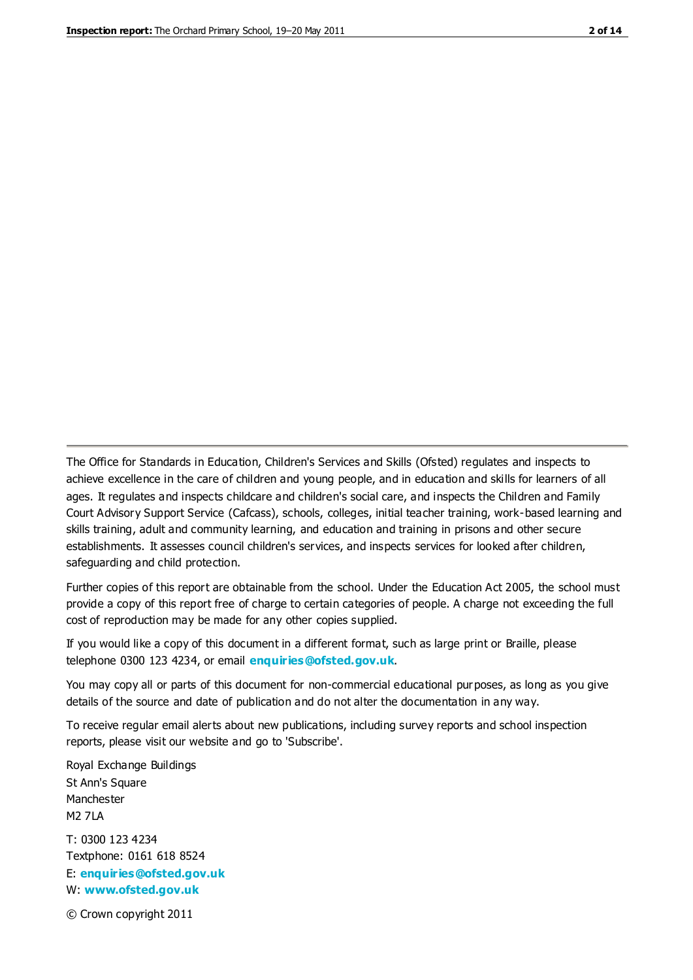The Office for Standards in Education, Children's Services and Skills (Ofsted) regulates and inspects to achieve excellence in the care of children and young people, and in education and skills for learners of all ages. It regulates and inspects childcare and children's social care, and inspects the Children and Family Court Advisory Support Service (Cafcass), schools, colleges, initial teacher training, work-based learning and skills training, adult and community learning, and education and training in prisons and other secure establishments. It assesses council children's services, and inspects services for looked after children, safeguarding and child protection.

Further copies of this report are obtainable from the school. Under the Education Act 2005, the school must provide a copy of this report free of charge to certain categories of people. A charge not exceeding the full cost of reproduction may be made for any other copies supplied.

If you would like a copy of this document in a different format, such as large print or Braille, please telephone 0300 123 4234, or email **[enquiries@ofsted.gov.uk](mailto:enquiries@ofsted.gov.uk)**.

You may copy all or parts of this document for non-commercial educational purposes, as long as you give details of the source and date of publication and do not alter the documentation in any way.

To receive regular email alerts about new publications, including survey reports and school inspection reports, please visit our website and go to 'Subscribe'.

Royal Exchange Buildings St Ann's Square Manchester M2 7LA T: 0300 123 4234 Textphone: 0161 618 8524 E: **[enquiries@ofsted.gov.uk](mailto:enquiries@ofsted.gov.uk)**

W: **[www.ofsted.gov.uk](http://www.ofsted.gov.uk/)**

© Crown copyright 2011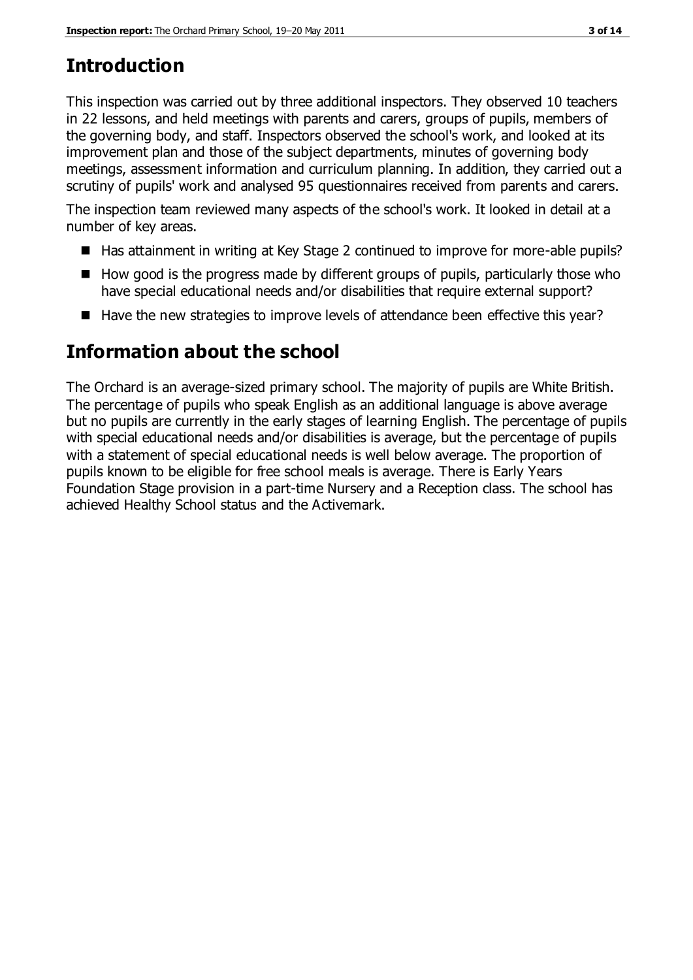# **Introduction**

This inspection was carried out by three additional inspectors. They observed 10 teachers in 22 lessons, and held meetings with parents and carers, groups of pupils, members of the governing body, and staff. Inspectors observed the school's work, and looked at its improvement plan and those of the subject departments, minutes of governing body meetings, assessment information and curriculum planning. In addition, they carried out a scrutiny of pupils' work and analysed 95 questionnaires received from parents and carers.

The inspection team reviewed many aspects of the school's work. It looked in detail at a number of key areas.

- Has attainment in writing at Key Stage 2 continued to improve for more-able pupils?
- $\blacksquare$  How good is the progress made by different groups of pupils, particularly those who have special educational needs and/or disabilities that require external support?
- Have the new strategies to improve levels of attendance been effective this year?

# **Information about the school**

The Orchard is an average-sized primary school. The majority of pupils are White British. The percentage of pupils who speak English as an additional language is above average but no pupils are currently in the early stages of learning English. The percentage of pupils with special educational needs and/or disabilities is average, but the percentage of pupils with a statement of special educational needs is well below average. The proportion of pupils known to be eligible for free school meals is average. There is Early Years Foundation Stage provision in a part-time Nursery and a Reception class. The school has achieved Healthy School status and the Activemark.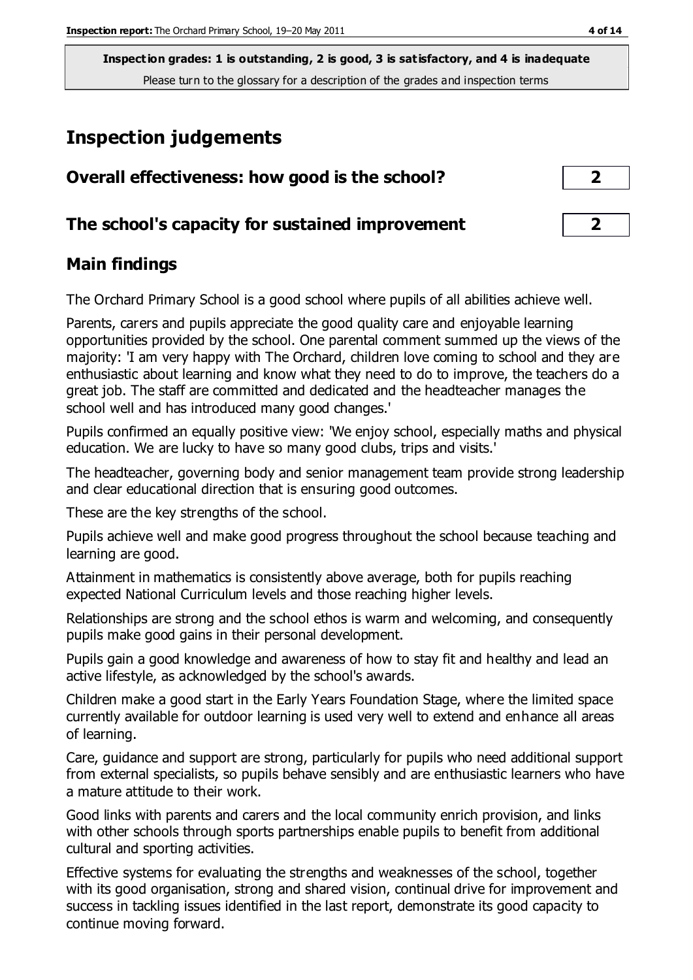# **Inspection judgements**

| Overall effectiveness: how good is the school?  | $\mathbf{2}$   |
|-------------------------------------------------|----------------|
| The school's capacity for sustained improvement | $\overline{2}$ |

#### **Main findings**

The Orchard Primary School is a good school where pupils of all abilities achieve well.

Parents, carers and pupils appreciate the good quality care and enjoyable learning opportunities provided by the school. One parental comment summed up the views of the majority: 'I am very happy with The Orchard, children love coming to school and they are enthusiastic about learning and know what they need to do to improve, the teachers do a great job. The staff are committed and dedicated and the headteacher manages the school well and has introduced many good changes.'

Pupils confirmed an equally positive view: 'We enjoy school, especially maths and physical education. We are lucky to have so many good clubs, trips and visits.'

The headteacher, governing body and senior management team provide strong leadership and clear educational direction that is ensuring good outcomes.

These are the key strengths of the school.

Pupils achieve well and make good progress throughout the school because teaching and learning are good.

Attainment in mathematics is consistently above average, both for pupils reaching expected National Curriculum levels and those reaching higher levels.

Relationships are strong and the school ethos is warm and welcoming, and consequently pupils make good gains in their personal development.

Pupils gain a good knowledge and awareness of how to stay fit and healthy and lead an active lifestyle, as acknowledged by the school's awards.

Children make a good start in the Early Years Foundation Stage, where the limited space currently available for outdoor learning is used very well to extend and enhance all areas of learning.

Care, guidance and support are strong, particularly for pupils who need additional support from external specialists, so pupils behave sensibly and are enthusiastic learners who have a mature attitude to their work.

Good links with parents and carers and the local community enrich provision, and links with other schools through sports partnerships enable pupils to benefit from additional cultural and sporting activities.

Effective systems for evaluating the strengths and weaknesses of the school, together with its good organisation, strong and shared vision, continual drive for improvement and success in tackling issues identified in the last report, demonstrate its good capacity to continue moving forward.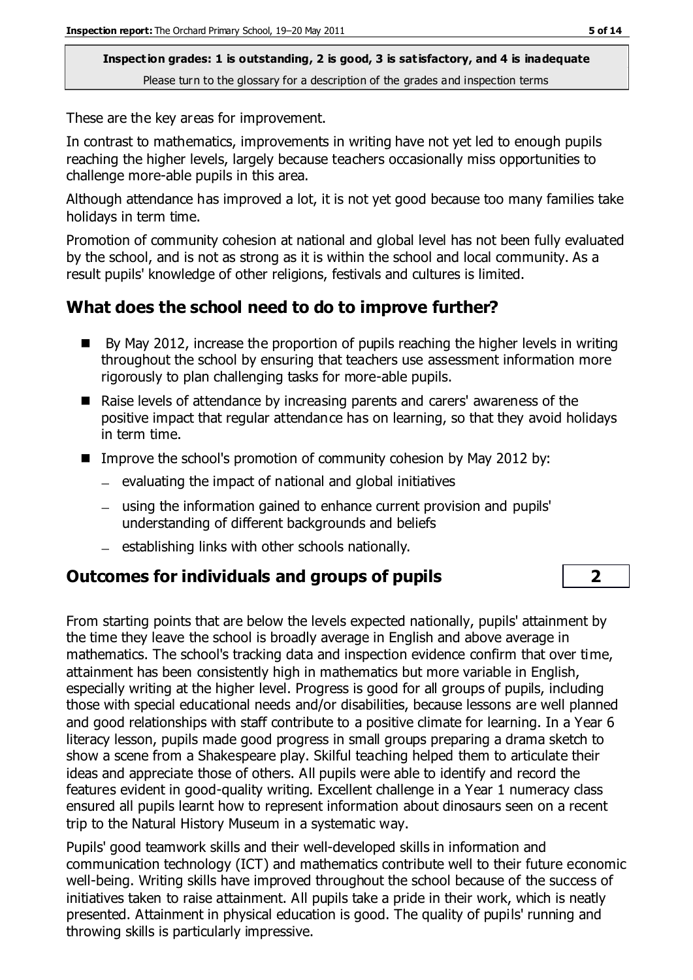These are the key areas for improvement.

In contrast to mathematics, improvements in writing have not yet led to enough pupils reaching the higher levels, largely because teachers occasionally miss opportunities to challenge more-able pupils in this area.

Although attendance has improved a lot, it is not yet good because too many families take holidays in term time.

Promotion of community cohesion at national and global level has not been fully evaluated by the school, and is not as strong as it is within the school and local community. As a result pupils' knowledge of other religions, festivals and cultures is limited.

# **What does the school need to do to improve further?**

- $\blacksquare$  By May 2012, increase the proportion of pupils reaching the higher levels in writing throughout the school by ensuring that teachers use assessment information more rigorously to plan challenging tasks for more-able pupils.
- Raise levels of attendance by increasing parents and carers' awareness of the positive impact that regular attendance has on learning, so that they avoid holidays in term time.
- Improve the school's promotion of community cohesion by May 2012 by:
	- $-$  evaluating the impact of national and global initiatives
	- using the information gained to enhance current provision and pupils' understanding of different backgrounds and beliefs
	- $-$  establishing links with other schools nationally.

### **Outcomes for individuals and groups of pupils 2**

From starting points that are below the levels expected nationally, pupils' attainment by the time they leave the school is broadly average in English and above average in mathematics. The school's tracking data and inspection evidence confirm that over time, attainment has been consistently high in mathematics but more variable in English, especially writing at the higher level. Progress is good for all groups of pupils, including those with special educational needs and/or disabilities, because lessons are well planned and good relationships with staff contribute to a positive climate for learning. In a Year 6 literacy lesson, pupils made good progress in small groups preparing a drama sketch to show a scene from a Shakespeare play. Skilful teaching helped them to articulate their ideas and appreciate those of others. All pupils were able to identify and record the features evident in good-quality writing. Excellent challenge in a Year 1 numeracy class ensured all pupils learnt how to represent information about dinosaurs seen on a recent trip to the Natural History Museum in a systematic way.

Pupils' good teamwork skills and their well-developed skills in information and communication technology (ICT) and mathematics contribute well to their future economic well-being. Writing skills have improved throughout the school because of the success of initiatives taken to raise attainment. All pupils take a pride in their work, which is neatly presented. Attainment in physical education is good. The quality of pupils' running and throwing skills is particularly impressive.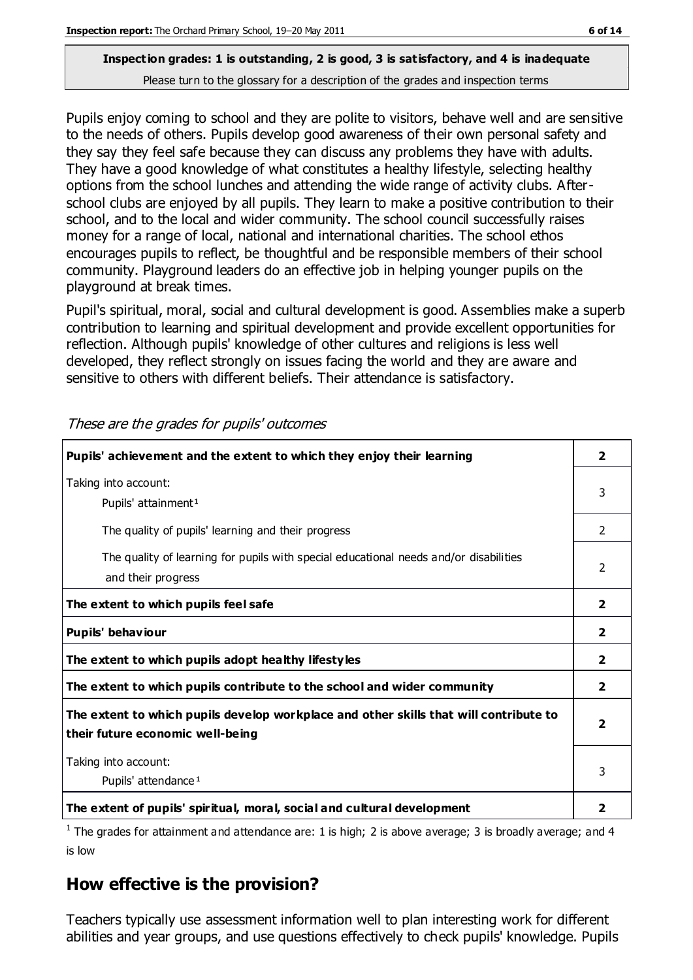Pupils enjoy coming to school and they are polite to visitors, behave well and are sensitive to the needs of others. Pupils develop good awareness of their own personal safety and they say they feel safe because they can discuss any problems they have with adults. They have a good knowledge of what constitutes a healthy lifestyle, selecting healthy options from the school lunches and attending the wide range of activity clubs. Afterschool clubs are enjoyed by all pupils. They learn to make a positive contribution to their school, and to the local and wider community. The school council successfully raises money for a range of local, national and international charities. The school ethos encourages pupils to reflect, be thoughtful and be responsible members of their school community. Playground leaders do an effective job in helping younger pupils on the playground at break times.

Pupil's spiritual, moral, social and cultural development is good. Assemblies make a superb contribution to learning and spiritual development and provide excellent opportunities for reflection. Although pupils' knowledge of other cultures and religions is less well developed, they reflect strongly on issues facing the world and they are aware and sensitive to others with different beliefs. Their attendance is satisfactory.

| Pupils' achievement and the extent to which they enjoy their learning                                                     | $\overline{2}$          |
|---------------------------------------------------------------------------------------------------------------------------|-------------------------|
| Taking into account:<br>Pupils' attainment <sup>1</sup>                                                                   | 3                       |
| The quality of pupils' learning and their progress                                                                        | $\mathcal{P}$           |
| The quality of learning for pupils with special educational needs and/or disabilities<br>and their progress               | $\mathcal{P}$           |
| The extent to which pupils feel safe                                                                                      | $\mathbf{2}$            |
| Pupils' behaviour                                                                                                         | $\mathbf{2}$            |
| The extent to which pupils adopt healthy lifestyles                                                                       | 2                       |
| The extent to which pupils contribute to the school and wider community                                                   | $\overline{2}$          |
| The extent to which pupils develop workplace and other skills that will contribute to<br>their future economic well-being | $\overline{\mathbf{2}}$ |
| Taking into account:<br>Pupils' attendance <sup>1</sup>                                                                   | 3                       |
| The extent of pupils' spiritual, moral, social and cultural development                                                   | 2                       |

These are the grades for pupils' outcomes

<sup>1</sup> The grades for attainment and attendance are: 1 is high; 2 is above average; 3 is broadly average; and 4 is low

# **How effective is the provision?**

Teachers typically use assessment information well to plan interesting work for different abilities and year groups, and use questions effectively to check pupils' knowledge. Pupils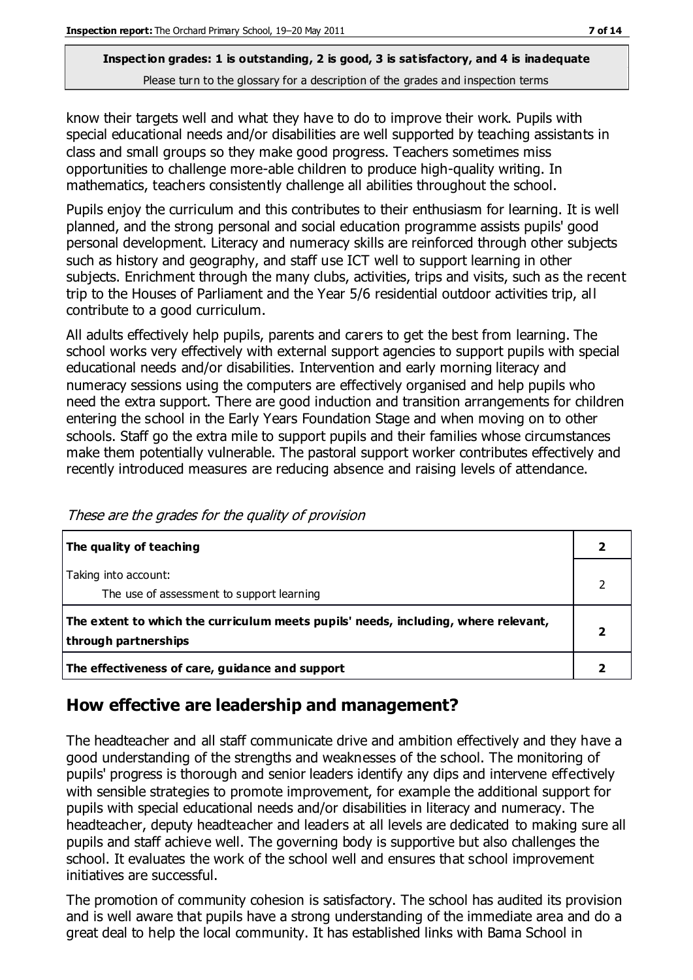know their targets well and what they have to do to improve their work. Pupils with special educational needs and/or disabilities are well supported by teaching assistants in class and small groups so they make good progress. Teachers sometimes miss opportunities to challenge more-able children to produce high-quality writing. In mathematics, teachers consistently challenge all abilities throughout the school.

Pupils enjoy the curriculum and this contributes to their enthusiasm for learning. It is well planned, and the strong personal and social education programme assists pupils' good personal development. Literacy and numeracy skills are reinforced through other subjects such as history and geography, and staff use ICT well to support learning in other subjects. Enrichment through the many clubs, activities, trips and visits, such as the recent trip to the Houses of Parliament and the Year 5/6 residential outdoor activities trip, all contribute to a good curriculum.

All adults effectively help pupils, parents and carers to get the best from learning. The school works very effectively with external support agencies to support pupils with special educational needs and/or disabilities. Intervention and early morning literacy and numeracy sessions using the computers are effectively organised and help pupils who need the extra support. There are good induction and transition arrangements for children entering the school in the Early Years Foundation Stage and when moving on to other schools. Staff go the extra mile to support pupils and their families whose circumstances make them potentially vulnerable. The pastoral support worker contributes effectively and recently introduced measures are reducing absence and raising levels of attendance.

| The quality of teaching                                                                                    |  |
|------------------------------------------------------------------------------------------------------------|--|
| Taking into account:<br>The use of assessment to support learning                                          |  |
| The extent to which the curriculum meets pupils' needs, including, where relevant,<br>through partnerships |  |
| The effectiveness of care, guidance and support                                                            |  |

These are the grades for the quality of provision

### **How effective are leadership and management?**

The headteacher and all staff communicate drive and ambition effectively and they have a good understanding of the strengths and weaknesses of the school. The monitoring of pupils' progress is thorough and senior leaders identify any dips and intervene effectively with sensible strategies to promote improvement, for example the additional support for pupils with special educational needs and/or disabilities in literacy and numeracy. The headteacher, deputy headteacher and leaders at all levels are dedicated to making sure all pupils and staff achieve well. The governing body is supportive but also challenges the school. It evaluates the work of the school well and ensures that school improvement initiatives are successful.

The promotion of community cohesion is satisfactory. The school has audited its provision and is well aware that pupils have a strong understanding of the immediate area and do a great deal to help the local community. It has established links with Bama School in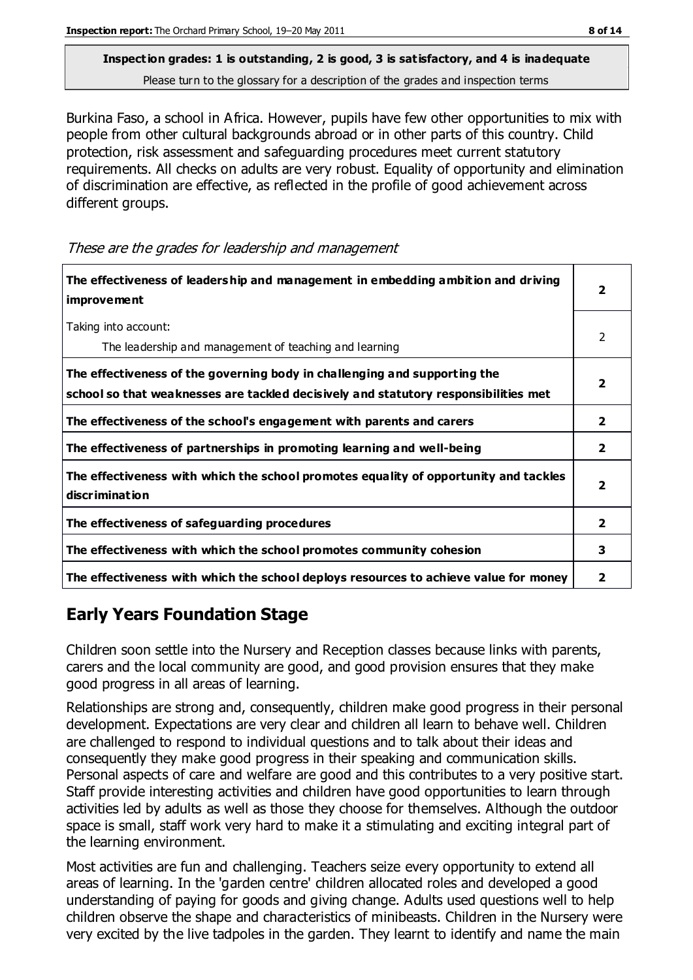Burkina Faso, a school in Africa. However, pupils have few other opportunities to mix with people from other cultural backgrounds abroad or in other parts of this country. Child protection, risk assessment and safeguarding procedures meet current statutory requirements. All checks on adults are very robust. Equality of opportunity and elimination of discrimination are effective, as reflected in the profile of good achievement across different groups.

These are the grades for leadership and management

| The effectiveness of leaders hip and management in embedding ambition and driving<br>improvement                                                                 |                         |
|------------------------------------------------------------------------------------------------------------------------------------------------------------------|-------------------------|
| Taking into account:<br>The leadership and management of teaching and learning                                                                                   | $\mathcal{P}$           |
| The effectiveness of the governing body in challenging and supporting the<br>school so that weaknesses are tackled decisively and statutory responsibilities met | $\overline{\mathbf{2}}$ |
| The effectiveness of the school's engagement with parents and carers                                                                                             | 2                       |
| The effectiveness of partnerships in promoting learning and well-being                                                                                           | $\overline{2}$          |
| The effectiveness with which the school promotes equality of opportunity and tackles<br>discrimination                                                           | $\overline{2}$          |
| The effectiveness of safeguarding procedures                                                                                                                     | $\overline{2}$          |
| The effectiveness with which the school promotes community cohesion                                                                                              | 3                       |
| The effectiveness with which the school deploys resources to achieve value for money                                                                             | 2                       |

# **Early Years Foundation Stage**

Children soon settle into the Nursery and Reception classes because links with parents, carers and the local community are good, and good provision ensures that they make good progress in all areas of learning.

Relationships are strong and, consequently, children make good progress in their personal development. Expectations are very clear and children all learn to behave well. Children are challenged to respond to individual questions and to talk about their ideas and consequently they make good progress in their speaking and communication skills. Personal aspects of care and welfare are good and this contributes to a very positive start. Staff provide interesting activities and children have good opportunities to learn through activities led by adults as well as those they choose for themselves. Although the outdoor space is small, staff work very hard to make it a stimulating and exciting integral part of the learning environment.

Most activities are fun and challenging. Teachers seize every opportunity to extend all areas of learning. In the 'garden centre' children allocated roles and developed a good understanding of paying for goods and giving change. Adults used questions well to help children observe the shape and characteristics of minibeasts. Children in the Nursery were very excited by the live tadpoles in the garden. They learnt to identify and name the main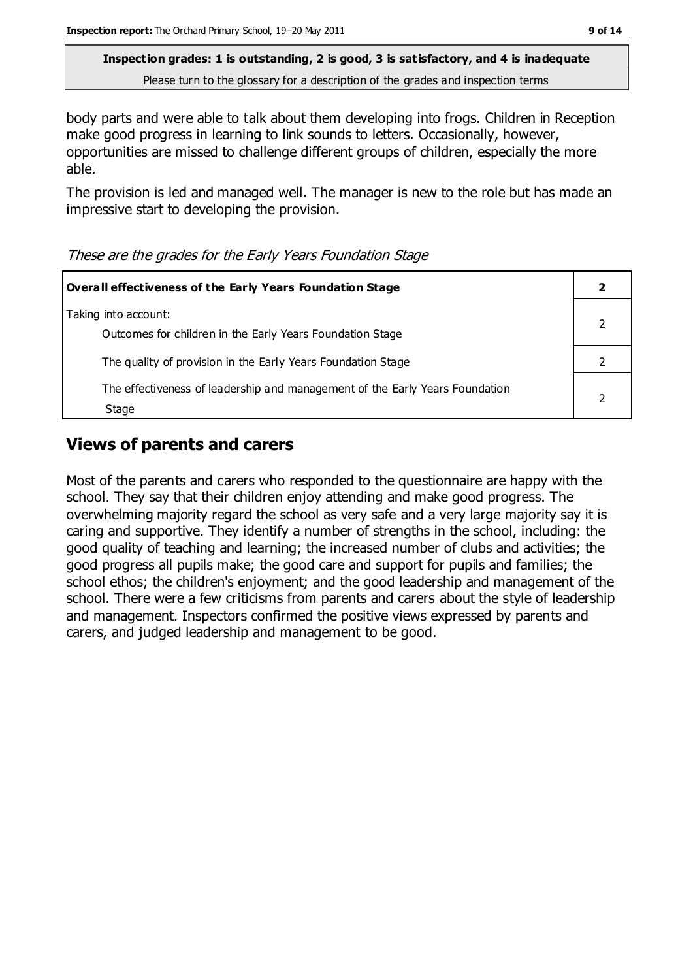body parts and were able to talk about them developing into frogs. Children in Reception make good progress in learning to link sounds to letters. Occasionally, however, opportunities are missed to challenge different groups of children, especially the more able.

The provision is led and managed well. The manager is new to the role but has made an impressive start to developing the provision.

These are the grades for the Early Years Foundation Stage

| Overall effectiveness of the Early Years Foundation Stage                             |  |
|---------------------------------------------------------------------------------------|--|
| Taking into account:<br>Outcomes for children in the Early Years Foundation Stage     |  |
| The quality of provision in the Early Years Foundation Stage                          |  |
| The effectiveness of leadership and management of the Early Years Foundation<br>Stage |  |

## **Views of parents and carers**

Most of the parents and carers who responded to the questionnaire are happy with the school. They say that their children enjoy attending and make good progress. The overwhelming majority regard the school as very safe and a very large majority say it is caring and supportive. They identify a number of strengths in the school, including: the good quality of teaching and learning; the increased number of clubs and activities; the good progress all pupils make; the good care and support for pupils and families; the school ethos; the children's enjoyment; and the good leadership and management of the school. There were a few criticisms from parents and carers about the style of leadership and management. Inspectors confirmed the positive views expressed by parents and carers, and judged leadership and management to be good.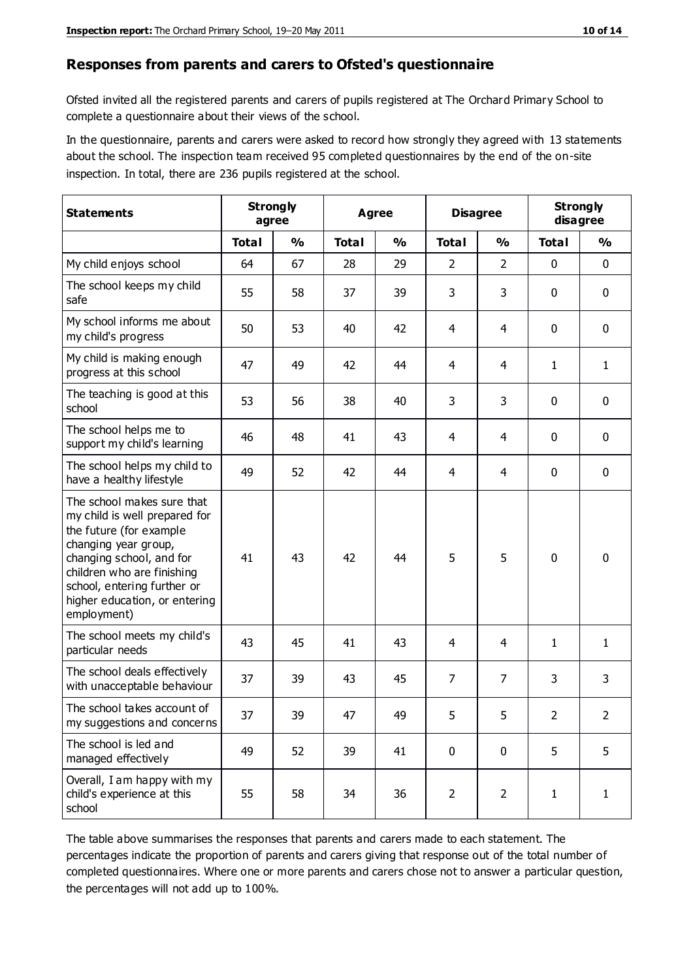#### **Responses from parents and carers to Ofsted's questionnaire**

Ofsted invited all the registered parents and carers of pupils registered at The Orchard Primary School to complete a questionnaire about their views of the school.

In the questionnaire, parents and carers were asked to record how strongly they agreed with 13 statements about the school. The inspection team received 95 completed questionnaires by the end of the on-site inspection. In total, there are 236 pupils registered at the school.

| <b>Statements</b>                                                                                                                                                                                                                                       | <b>Strongly</b><br><b>Disagree</b><br>Agree<br>agree |               |              |               |                |                | <b>Strongly</b><br>disagree |              |
|---------------------------------------------------------------------------------------------------------------------------------------------------------------------------------------------------------------------------------------------------------|------------------------------------------------------|---------------|--------------|---------------|----------------|----------------|-----------------------------|--------------|
|                                                                                                                                                                                                                                                         | <b>Total</b>                                         | $\frac{0}{0}$ | <b>Total</b> | $\frac{0}{0}$ | <b>Total</b>   | $\frac{0}{0}$  | <b>Total</b>                | %            |
| My child enjoys school                                                                                                                                                                                                                                  | 64                                                   | 67            | 28           | 29            | $\overline{2}$ | $\overline{2}$ | $\mathbf 0$                 | $\mathbf 0$  |
| The school keeps my child<br>safe                                                                                                                                                                                                                       | 55                                                   | 58            | 37           | 39            | 3              | 3              | $\mathbf 0$                 | $\mathbf 0$  |
| My school informs me about<br>my child's progress                                                                                                                                                                                                       | 50                                                   | 53            | 40           | 42            | 4              | 4              | $\mathbf 0$                 | $\mathbf 0$  |
| My child is making enough<br>progress at this school                                                                                                                                                                                                    | 47                                                   | 49            | 42           | 44            | 4              | 4              | 1                           | 1            |
| The teaching is good at this<br>school                                                                                                                                                                                                                  | 53                                                   | 56            | 38           | 40            | 3              | 3              | $\mathbf 0$                 | $\mathbf 0$  |
| The school helps me to<br>support my child's learning                                                                                                                                                                                                   | 46                                                   | 48            | 41           | 43            | 4              | 4              | $\mathbf 0$                 | $\mathbf 0$  |
| The school helps my child to<br>have a healthy lifestyle                                                                                                                                                                                                | 49                                                   | 52            | 42           | 44            | $\overline{4}$ | 4              | $\mathbf 0$                 | $\mathbf 0$  |
| The school makes sure that<br>my child is well prepared for<br>the future (for example<br>changing year group,<br>changing school, and for<br>children who are finishing<br>school, entering further or<br>higher education, or entering<br>employment) | 41                                                   | 43            | 42           | 44            | 5              | 5              | $\mathbf 0$                 | $\mathbf 0$  |
| The school meets my child's<br>particular needs                                                                                                                                                                                                         | 43                                                   | 45            | 41           | 43            | 4              | 4              | 1                           | 1            |
| The school deals effectively<br>with unacceptable behaviour                                                                                                                                                                                             | 37                                                   | 39            | 43           | 45            | $\overline{7}$ | 7              | 3                           | 3            |
| The school takes account of<br>my suggestions and concerns                                                                                                                                                                                              | 37                                                   | 39            | 47           | 49            | 5              | 5              | $\overline{2}$              | 2            |
| The school is led and<br>managed effectively                                                                                                                                                                                                            | 49                                                   | 52            | 39           | 41            | $\mathbf 0$    | $\mathbf 0$    | 5                           | 5            |
| Overall, I am happy with my<br>child's experience at this<br>school                                                                                                                                                                                     | 55                                                   | 58            | 34           | 36            | $\overline{2}$ | $\overline{2}$ | $\mathbf{1}$                | $\mathbf{1}$ |

The table above summarises the responses that parents and carers made to each statement. The percentages indicate the proportion of parents and carers giving that response out of the total number of completed questionnaires. Where one or more parents and carers chose not to answer a particular question, the percentages will not add up to 100%.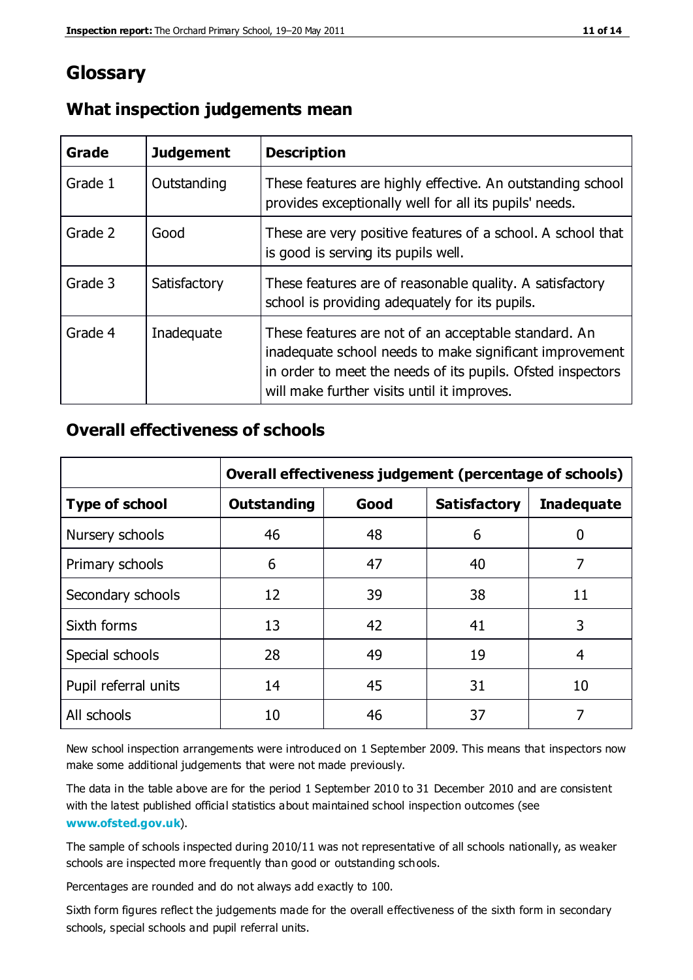# **Glossary**

| Grade   | <b>Judgement</b> | <b>Description</b>                                                                                                                                                                                                            |
|---------|------------------|-------------------------------------------------------------------------------------------------------------------------------------------------------------------------------------------------------------------------------|
| Grade 1 | Outstanding      | These features are highly effective. An outstanding school<br>provides exceptionally well for all its pupils' needs.                                                                                                          |
| Grade 2 | Good             | These are very positive features of a school. A school that<br>is good is serving its pupils well.                                                                                                                            |
| Grade 3 | Satisfactory     | These features are of reasonable quality. A satisfactory<br>school is providing adequately for its pupils.                                                                                                                    |
| Grade 4 | Inadequate       | These features are not of an acceptable standard. An<br>inadequate school needs to make significant improvement<br>in order to meet the needs of its pupils. Ofsted inspectors<br>will make further visits until it improves. |

#### **What inspection judgements mean**

#### **Overall effectiveness of schools**

|                       | Overall effectiveness judgement (percentage of schools) |      |                     |                   |
|-----------------------|---------------------------------------------------------|------|---------------------|-------------------|
| <b>Type of school</b> | <b>Outstanding</b>                                      | Good | <b>Satisfactory</b> | <b>Inadequate</b> |
| Nursery schools       | 46                                                      | 48   | 6                   |                   |
| Primary schools       | 6                                                       | 47   | 40                  | 7                 |
| Secondary schools     | 12                                                      | 39   | 38                  | 11                |
| Sixth forms           | 13                                                      | 42   | 41                  | 3                 |
| Special schools       | 28                                                      | 49   | 19                  | 4                 |
| Pupil referral units  | 14                                                      | 45   | 31                  | 10                |
| All schools           | 10                                                      | 46   | 37                  |                   |

New school inspection arrangements were introduced on 1 September 2009. This means that inspectors now make some additional judgements that were not made previously.

The data in the table above are for the period 1 September 2010 to 31 December 2010 and are consistent with the latest published official statistics about maintained school inspection outcomes (see **[www.ofsted.gov.uk](http://www.ofsted.gov.uk/)**).

The sample of schools inspected during 2010/11 was not representative of all schools nationally, as weaker schools are inspected more frequently than good or outstanding schools.

Percentages are rounded and do not always add exactly to 100.

Sixth form figures reflect the judgements made for the overall effectiveness of the sixth form in secondary schools, special schools and pupil referral units.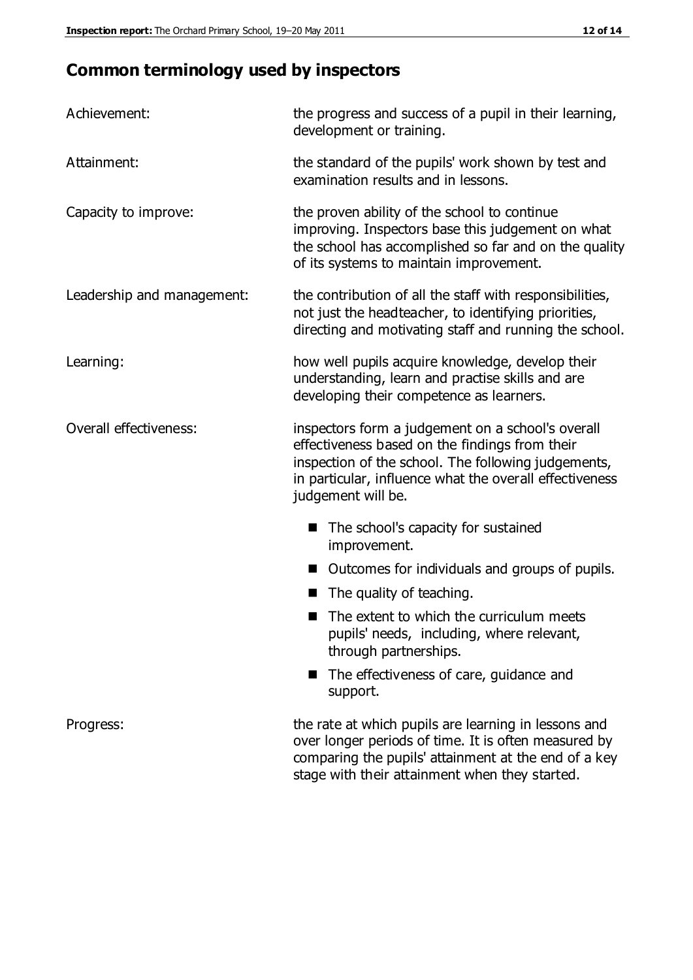# **Common terminology used by inspectors**

| Achievement:               | the progress and success of a pupil in their learning,<br>development or training.                                                                                                                                                          |  |  |
|----------------------------|---------------------------------------------------------------------------------------------------------------------------------------------------------------------------------------------------------------------------------------------|--|--|
| Attainment:                | the standard of the pupils' work shown by test and<br>examination results and in lessons.                                                                                                                                                   |  |  |
| Capacity to improve:       | the proven ability of the school to continue<br>improving. Inspectors base this judgement on what<br>the school has accomplished so far and on the quality<br>of its systems to maintain improvement.                                       |  |  |
| Leadership and management: | the contribution of all the staff with responsibilities,<br>not just the headteacher, to identifying priorities,<br>directing and motivating staff and running the school.                                                                  |  |  |
| Learning:                  | how well pupils acquire knowledge, develop their<br>understanding, learn and practise skills and are<br>developing their competence as learners.                                                                                            |  |  |
| Overall effectiveness:     | inspectors form a judgement on a school's overall<br>effectiveness based on the findings from their<br>inspection of the school. The following judgements,<br>in particular, influence what the overall effectiveness<br>judgement will be. |  |  |
|                            | The school's capacity for sustained<br>improvement.                                                                                                                                                                                         |  |  |
|                            | Outcomes for individuals and groups of pupils.                                                                                                                                                                                              |  |  |
|                            | The quality of teaching.                                                                                                                                                                                                                    |  |  |
|                            | The extent to which the curriculum meets<br>pupils' needs, including, where relevant,<br>through partnerships.                                                                                                                              |  |  |
|                            | The effectiveness of care, guidance and<br>support.                                                                                                                                                                                         |  |  |
| Progress:                  | the rate at which pupils are learning in lessons and<br>over longer periods of time. It is often measured by<br>comparing the pupils' attainment at the end of a key                                                                        |  |  |

stage with their attainment when they started.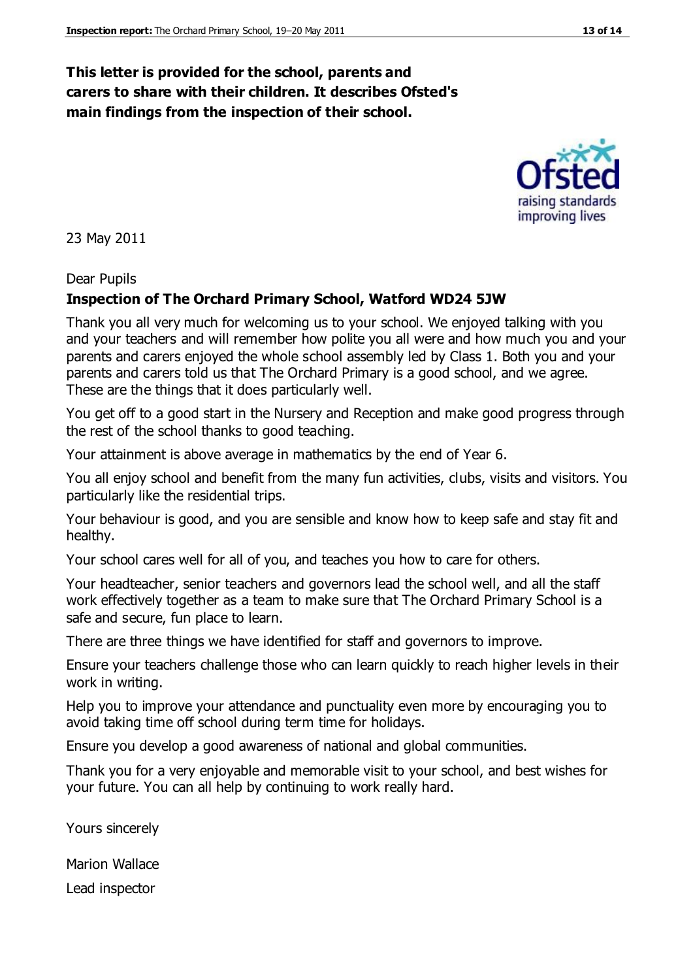#### **This letter is provided for the school, parents and carers to share with their children. It describes Ofsted's main findings from the inspection of their school.**

23 May 2011

#### Dear Pupils

#### **Inspection of The Orchard Primary School, Watford WD24 5JW**

Thank you all very much for welcoming us to your school. We enjoyed talking with you and your teachers and will remember how polite you all were and how much you and your parents and carers enjoyed the whole school assembly led by Class 1. Both you and your parents and carers told us that The Orchard Primary is a good school, and we agree. These are the things that it does particularly well.

You get off to a good start in the Nursery and Reception and make good progress through the rest of the school thanks to good teaching.

Your attainment is above average in mathematics by the end of Year 6.

You all enjoy school and benefit from the many fun activities, clubs, visits and visitors. You particularly like the residential trips.

Your behaviour is good, and you are sensible and know how to keep safe and stay fit and healthy.

Your school cares well for all of you, and teaches you how to care for others.

Your headteacher, senior teachers and governors lead the school well, and all the staff work effectively together as a team to make sure that The Orchard Primary School is a safe and secure, fun place to learn.

There are three things we have identified for staff and governors to improve.

Ensure your teachers challenge those who can learn quickly to reach higher levels in their work in writing.

Help you to improve your attendance and punctuality even more by encouraging you to avoid taking time off school during term time for holidays.

Ensure you develop a good awareness of national and global communities.

Thank you for a very enjoyable and memorable visit to your school, and best wishes for your future. You can all help by continuing to work really hard.

Yours sincerely

Marion Wallace

Lead inspector